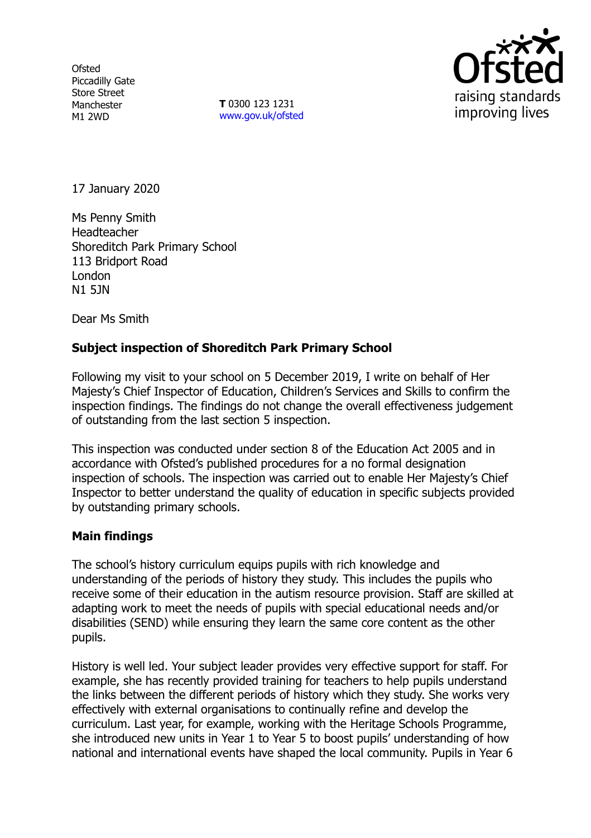**Ofsted** Piccadilly Gate Store Street Manchester M1 2WD

**T** 0300 123 1231 [www.gov.uk/ofsted](http://www.gov.uk/ofsted)



17 January 2020

Ms Penny Smith Headteacher Shoreditch Park Primary School 113 Bridport Road London N1 5JN

Dear Ms Smith

## **Subject inspection of Shoreditch Park Primary School**

Following my visit to your school on 5 December 2019, I write on behalf of Her Majesty's Chief Inspector of Education, Children's Services and Skills to confirm the inspection findings. The findings do not change the overall effectiveness judgement of outstanding from the last section 5 inspection.

This inspection was conducted under section 8 of the Education Act 2005 and in accordance with Ofsted's published procedures for a no formal designation inspection of schools. The inspection was carried out to enable Her Majesty's Chief Inspector to better understand the quality of education in specific subjects provided by outstanding primary schools.

## **Main findings**

The school's history curriculum equips pupils with rich knowledge and understanding of the periods of history they study. This includes the pupils who receive some of their education in the autism resource provision. Staff are skilled at adapting work to meet the needs of pupils with special educational needs and/or disabilities (SEND) while ensuring they learn the same core content as the other pupils.

History is well led. Your subject leader provides very effective support for staff. For example, she has recently provided training for teachers to help pupils understand the links between the different periods of history which they study. She works very effectively with external organisations to continually refine and develop the curriculum. Last year, for example, working with the Heritage Schools Programme, she introduced new units in Year 1 to Year 5 to boost pupils' understanding of how national and international events have shaped the local community. Pupils in Year 6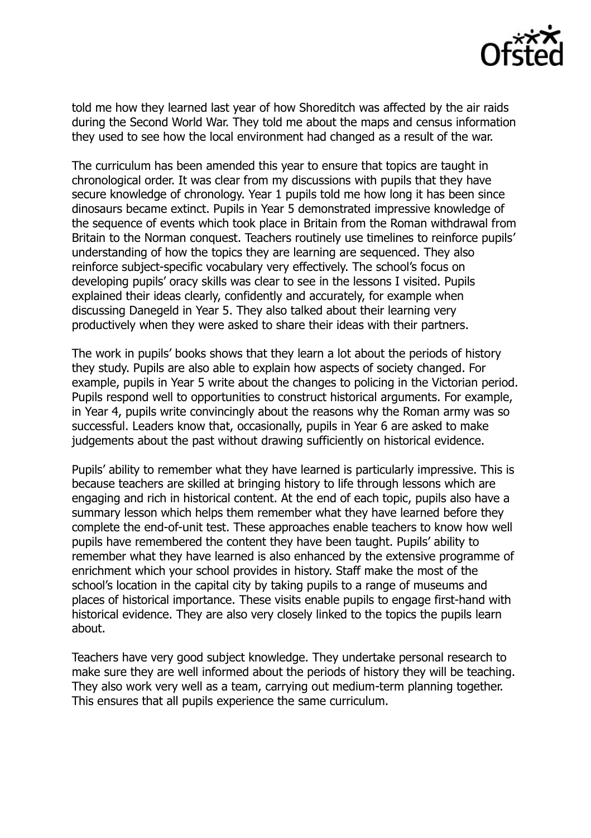

told me how they learned last year of how Shoreditch was affected by the air raids during the Second World War. They told me about the maps and census information they used to see how the local environment had changed as a result of the war.

The curriculum has been amended this year to ensure that topics are taught in chronological order. It was clear from my discussions with pupils that they have secure knowledge of chronology. Year 1 pupils told me how long it has been since dinosaurs became extinct. Pupils in Year 5 demonstrated impressive knowledge of the sequence of events which took place in Britain from the Roman withdrawal from Britain to the Norman conquest. Teachers routinely use timelines to reinforce pupils' understanding of how the topics they are learning are sequenced. They also reinforce subject-specific vocabulary very effectively. The school's focus on developing pupils' oracy skills was clear to see in the lessons I visited. Pupils explained their ideas clearly, confidently and accurately, for example when discussing Danegeld in Year 5. They also talked about their learning very productively when they were asked to share their ideas with their partners.

The work in pupils' books shows that they learn a lot about the periods of history they study. Pupils are also able to explain how aspects of society changed. For example, pupils in Year 5 write about the changes to policing in the Victorian period. Pupils respond well to opportunities to construct historical arguments. For example, in Year 4, pupils write convincingly about the reasons why the Roman army was so successful. Leaders know that, occasionally, pupils in Year 6 are asked to make judgements about the past without drawing sufficiently on historical evidence.

Pupils' ability to remember what they have learned is particularly impressive. This is because teachers are skilled at bringing history to life through lessons which are engaging and rich in historical content. At the end of each topic, pupils also have a summary lesson which helps them remember what they have learned before they complete the end-of-unit test. These approaches enable teachers to know how well pupils have remembered the content they have been taught. Pupils' ability to remember what they have learned is also enhanced by the extensive programme of enrichment which your school provides in history. Staff make the most of the school's location in the capital city by taking pupils to a range of museums and places of historical importance. These visits enable pupils to engage first-hand with historical evidence. They are also very closely linked to the topics the pupils learn about.

Teachers have very good subject knowledge. They undertake personal research to make sure they are well informed about the periods of history they will be teaching. They also work very well as a team, carrying out medium-term planning together. This ensures that all pupils experience the same curriculum.